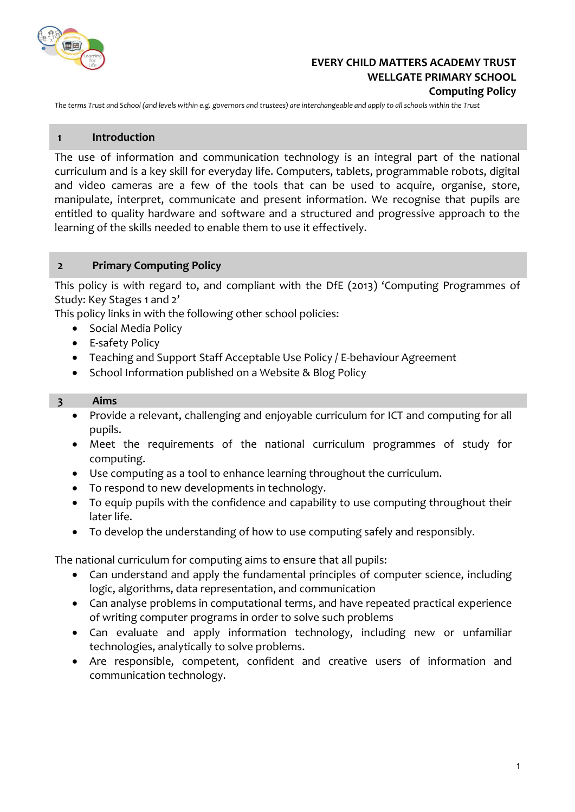

## **EVERY CHILD MATTERS ACADEMY TRUST WELLGATE PRIMARY SCHOOL Computing Policy**

*The terms Trust and School (and levels within e.g. governors and trustees) are interchangeable and apply to all schools within the Trust*

#### **1 Introduction**

The use of information and communication technology is an integral part of the national curriculum and is a key skill for everyday life. Computers, tablets, programmable robots, digital and video cameras are a few of the tools that can be used to acquire, organise, store, manipulate, interpret, communicate and present information. We recognise that pupils are entitled to quality hardware and software and a structured and progressive approach to the learning of the skills needed to enable them to use it effectively.

## **2 Primary Computing Policy**

This policy is with regard to, and compliant with the DfE (2013) 'Computing Programmes of Study: Key Stages 1 and 2'

This policy links in with the following other school policies:

- Social Media Policy
- E-safety Policy
- Teaching and Support Staff Acceptable Use Policy / E-behaviour Agreement
- School Information published on a Website & Blog Policy

#### **3 Aims**

- Provide a relevant, challenging and enjoyable curriculum for ICT and computing for all pupils.
- Meet the requirements of the national curriculum programmes of study for computing.
- Use computing as a tool to enhance learning throughout the curriculum.
- To respond to new developments in technology.
- To equip pupils with the confidence and capability to use computing throughout their later life.
- To develop the understanding of how to use computing safely and responsibly.

The national curriculum for computing aims to ensure that all pupils:

- Can understand and apply the fundamental principles of computer science, including logic, algorithms, data representation, and communication
- Can analyse problems in computational terms, and have repeated practical experience of writing computer programs in order to solve such problems
- Can evaluate and apply information technology, including new or unfamiliar technologies, analytically to solve problems.
- Are responsible, competent, confident and creative users of information and communication technology.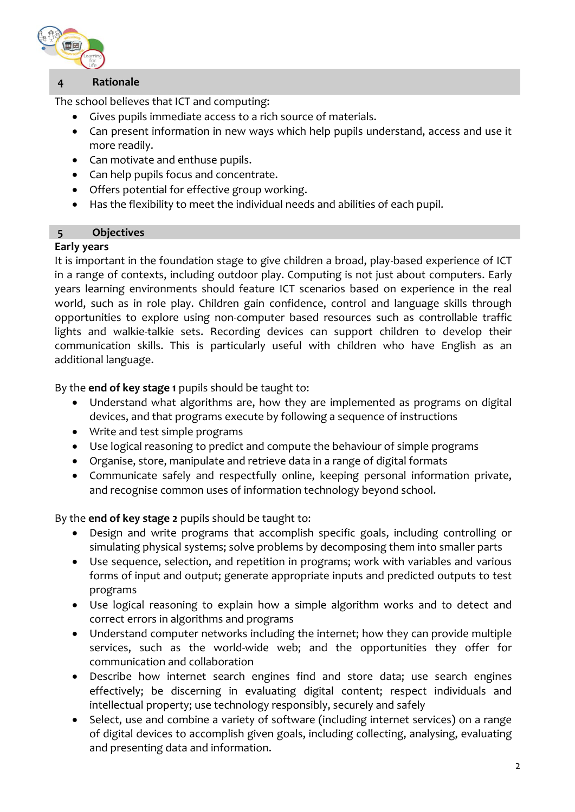

# **4 Rationale**

The school believes that ICT and computing:

- Gives pupils immediate access to a rich source of materials.
- Can present information in new ways which help pupils understand, access and use it more readily.
- Can motivate and enthuse pupils.
- Can help pupils focus and concentrate.
- Offers potential for effective group working.
- Has the flexibility to meet the individual needs and abilities of each pupil.

## **5 Objectives**

## **Early years**

It is important in the foundation stage to give children a broad, play-based experience of ICT in a range of contexts, including outdoor play. Computing is not just about computers. Early years learning environments should feature ICT scenarios based on experience in the real world, such as in role play. Children gain confidence, control and language skills through opportunities to explore using non-computer based resources such as controllable traffic lights and walkie-talkie sets. Recording devices can support children to develop their communication skills. This is particularly useful with children who have English as an additional language.

By the **end of key stage 1** pupils should be taught to:

- Understand what algorithms are, how they are implemented as programs on digital devices, and that programs execute by following a sequence of instructions
- Write and test simple programs
- Use logical reasoning to predict and compute the behaviour of simple programs
- Organise, store, manipulate and retrieve data in a range of digital formats
- Communicate safely and respectfully online, keeping personal information private, and recognise common uses of information technology beyond school.

## By the **end of key stage 2** pupils should be taught to:

- Design and write programs that accomplish specific goals, including controlling or simulating physical systems; solve problems by decomposing them into smaller parts
- Use sequence, selection, and repetition in programs; work with variables and various forms of input and output; generate appropriate inputs and predicted outputs to test programs
- Use logical reasoning to explain how a simple algorithm works and to detect and correct errors in algorithms and programs
- Understand computer networks including the internet; how they can provide multiple services, such as the world-wide web; and the opportunities they offer for communication and collaboration
- Describe how internet search engines find and store data; use search engines effectively; be discerning in evaluating digital content; respect individuals and intellectual property; use technology responsibly, securely and safely
- Select, use and combine a variety of software (including internet services) on a range of digital devices to accomplish given goals, including collecting, analysing, evaluating and presenting data and information.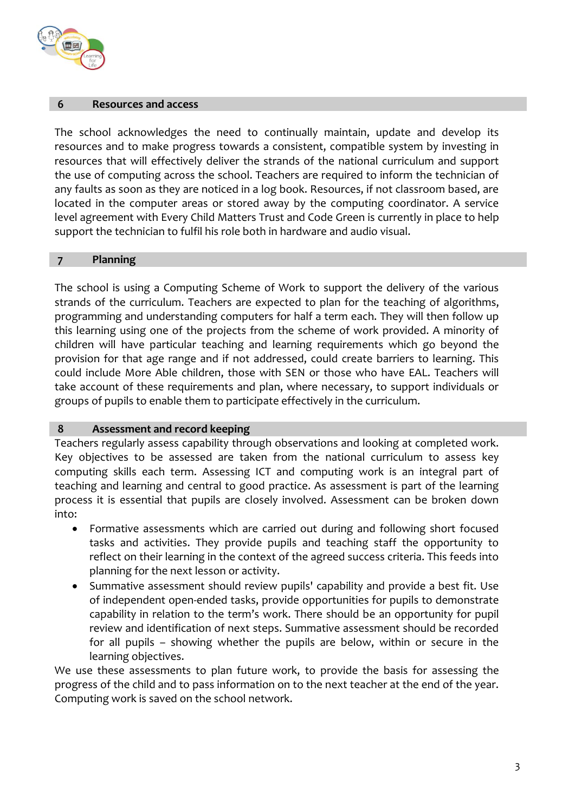

#### **6 Resources and access**

The school acknowledges the need to continually maintain, update and develop its resources and to make progress towards a consistent, compatible system by investing in resources that will effectively deliver the strands of the national curriculum and support the use of computing across the school. Teachers are required to inform the technician of any faults as soon as they are noticed in a log book. Resources, if not classroom based, are located in the computer areas or stored away by the computing coordinator. A service level agreement with Every Child Matters Trust and Code Green is currently in place to help support the technician to fulfil his role both in hardware and audio visual.

#### **7 Planning**

The school is using a Computing Scheme of Work to support the delivery of the various strands of the curriculum. Teachers are expected to plan for the teaching of algorithms, programming and understanding computers for half a term each. They will then follow up this learning using one of the projects from the scheme of work provided. A minority of children will have particular teaching and learning requirements which go beyond the provision for that age range and if not addressed, could create barriers to learning. This could include More Able children, those with SEN or those who have EAL. Teachers will take account of these requirements and plan, where necessary, to support individuals or groups of pupils to enable them to participate effectively in the curriculum.

#### **8 Assessment and record keeping**

Teachers regularly assess capability through observations and looking at completed work. Key objectives to be assessed are taken from the national curriculum to assess key computing skills each term. Assessing ICT and computing work is an integral part of teaching and learning and central to good practice. As assessment is part of the learning process it is essential that pupils are closely involved. Assessment can be broken down into:

- Formative assessments which are carried out during and following short focused tasks and activities. They provide pupils and teaching staff the opportunity to reflect on their learning in the context of the agreed success criteria. This feeds into planning for the next lesson or activity.
- Summative assessment should review pupils' capability and provide a best fit. Use of independent open-ended tasks, provide opportunities for pupils to demonstrate capability in relation to the term's work. There should be an opportunity for pupil review and identification of next steps. Summative assessment should be recorded for all pupils – showing whether the pupils are below, within or secure in the learning objectives.

We use these assessments to plan future work, to provide the basis for assessing the progress of the child and to pass information on to the next teacher at the end of the year. Computing work is saved on the school network.